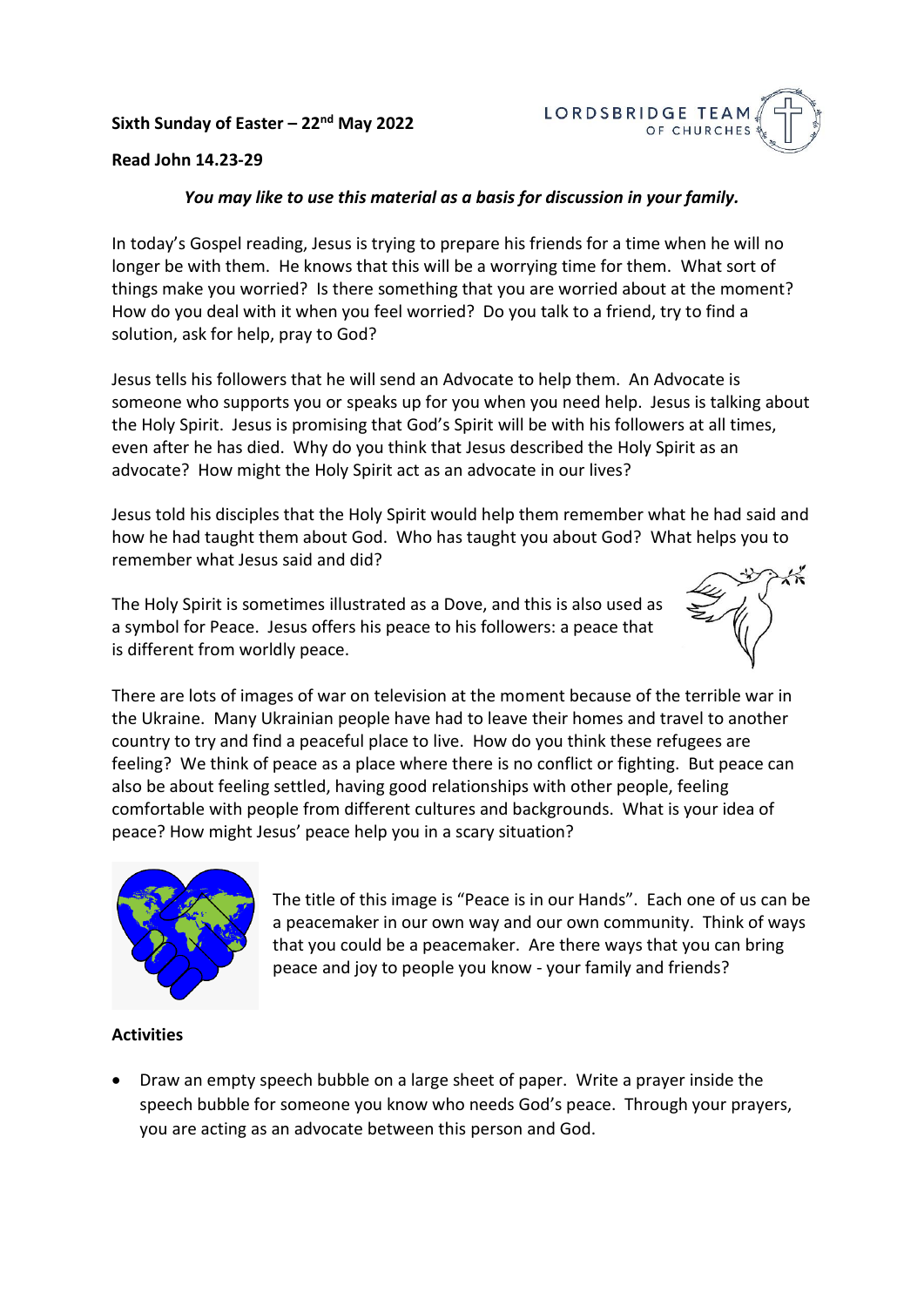# **Sixth Sunday of Easter – 22nd May 2022**



## **Read John 14.23-29**

### *You may like to use this material as a basis for discussion in your family.*

In today's Gospel reading, Jesus is trying to prepare his friends for a time when he will no longer be with them. He knows that this will be a worrying time for them. What sort of things make you worried? Is there something that you are worried about at the moment? How do you deal with it when you feel worried? Do you talk to a friend, try to find a solution, ask for help, pray to God?

Jesus tells his followers that he will send an Advocate to help them. An Advocate is someone who supports you or speaks up for you when you need help. Jesus is talking about the Holy Spirit. Jesus is promising that God's Spirit will be with his followers at all times, even after he has died. Why do you think that Jesus described the Holy Spirit as an advocate? How might the Holy Spirit act as an advocate in our lives?

Jesus told his disciples that the Holy Spirit would help them remember what he had said and how he had taught them about God. Who has taught you about God? What helps you to remember what Jesus said and did?

The Holy Spirit is sometimes illustrated as a Dove, and this is also used as a symbol for Peace. Jesus offers his peace to his followers: a peace that is different from worldly peace.



There are lots of images of war on television at the moment because of the terrible war in the Ukraine. Many Ukrainian people have had to leave their homes and travel to another country to try and find a peaceful place to live. How do you think these refugees are feeling? We think of peace as a place where there is no conflict or fighting. But peace can also be about feeling settled, having good relationships with other people, feeling comfortable with people from different cultures and backgrounds. What is your idea of peace? How might Jesus' peace help you in a scary situation?



The title of this image is "Peace is in our Hands". Each one of us can be a peacemaker in our own way and our own community. Think of ways that you could be a peacemaker. Are there ways that you can bring peace and joy to people you know - your family and friends?

#### **Activities**

• Draw an empty speech bubble on a large sheet of paper. Write a prayer inside the speech bubble for someone you know who needs God's peace. Through your prayers, you are acting as an advocate between this person and God.